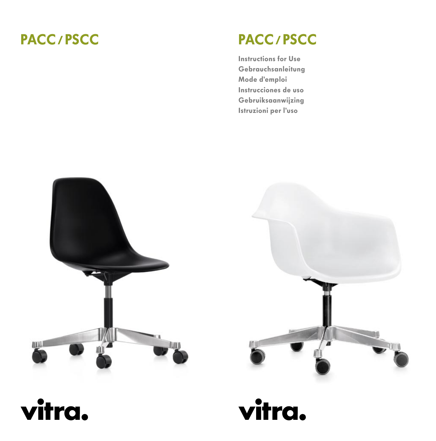# PACC / PSCC

# PACC / PSCC

Instructions for Use Gebrauchsanleitung Mode d'emploi Instrucciones de uso Gebruiksaanwijzing Istruzioni per l'uso





vitra.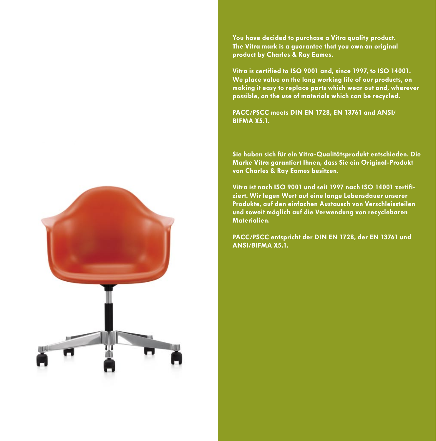You have decided to purchase a Vitra quality product. The Vitra mark is a guarantee that you own an original product by Charles & Ray Eames.

Vitra is certified to ISO 9001 and, since 1997, to ISO 14001. We place value on the long working life of our products, on making it easy to replace parts which wear out and, wherever possible, on the use of materials which can be recycled.

PACC/PSCC meets DIN EN 1728, EN 13761 and ANSI/ BIFMA X5.1.

Sie haben sich für ein Vitra-Qualitätsprodukt entschieden. Die Marke Vitra garantiert Ihnen, dass Sie ein Original-Produkt von Charles & Ray Eames besitzen.

Vitra ist nach ISO 9001 und seit 1997 nach ISO 14001 zertifiziert. Wir legen Wert auf eine lange Lebensdauer unserer Produkte, auf den einfachen Austausch von Verschleissteilen und soweit möglich auf die Verwendung von recyclebaren Materialien.

PACC/PSCC entspricht der DIN EN 1728, der EN 13761 und ANSI/BIFMA X5.1.

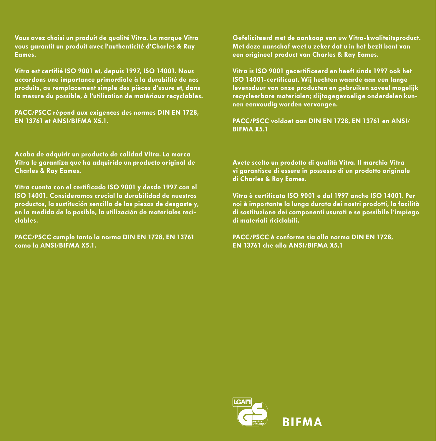Vous avez choisi un produit de qualité Vitra. La marque Vitra vous garantit un produit avec l'authenticité d'Charles & Ray Eames.

Vitra est certifié ISO 9001 et, depuis 1997, ISO 14001. Nous accordons une importance primordiale à la durabilité de nos produits, au remplacement simple des pièces d'usure et, dans la mesure du possible, à l'utilisation de matériaux recyclables.

PACC/PSCC répond aux exigences des normes DIN EN 1728, EN 13761 et ANSI/BIFMA X5.1.

Acaba de adquirir un producto de calidad Vitra. La marca Vitra le garantiza que ha adquirido un producto original de Charles & Ray Eames.

Vitra cuenta con el certificado ISO 9001 y desde 1997 con el ISO 14001. Consideramos crucial la durabilidad de nuestros productos, la sustitución sencilla de las piezas de desgaste y, en la medida de lo posible, la utilización de materiales reciclables.

PACC/PSCC cumple tanto la norma DIN EN 1728, EN 13761 como la ANSI/BIFMA X5.1.

Gefeliciteerd met de aankoop van uw Vitra-kwaliteitsproduct. Met deze aanschaf weet u zeker dat u in het bezit bent van een origineel product van Charles & Ray Eames.

Vitra is ISO 9001 gecertificeerd en heeft sinds 1997 ook het ISO 14001-certificaat. Wij hechten waarde aan een lange levensduur van onze producten en gebruiken zoveel mogelijk recycleerbare materialen; slijtagegevoelige onderdelen kunnen eenvoudig worden vervangen.

PACC/PSCC voldoet aan DIN EN 1728, EN 13761 en ANSI/ BIFMA X5.1

Avete scelto un prodotto di qualità Vitra. Il marchio Vitra vi garantisce di essere in possesso di un prodotto originale di Charles & Ray Eames.

Vitra è certificata ISO 9001 e dal 1997 anche ISO 14001. Per noi è importante la lunga durata dei nostri prodotti, la facilità di sostituzione dei componenti usurati e se possibile l'impiego di materiali riciclabili.

PACC/PSCC è conforme sia alla norma DIN EN 1728, EN 13761 che alla ANSI/BIFMA X5.1

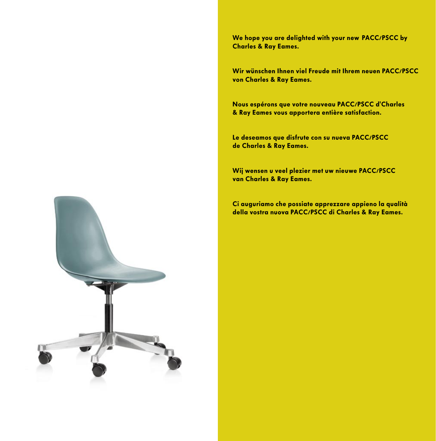We hope you are delighted with your new  PACC/PSCC by Charles & Ray Eames.

Wir wünschen Ihnen viel Freude mit Ihrem neuen PACC/PSCC von Charles & Ray Eames.

Nous espérons que votre nouveau PACC/PSCC d'Charles & Ray Eames vous apportera entière satisfaction.

Le deseamos que disfrute con su nueva PACC/PSCC de Charles & Ray Eames.

Wij wensen u veel plezier met uw nieuwe PACC/PSCC van Charles & Ray Eames.

Ci auguriamo che possiate apprezzare appieno la qualità della vostra nuova PACC/PSCC di Charles & Ray Eames.

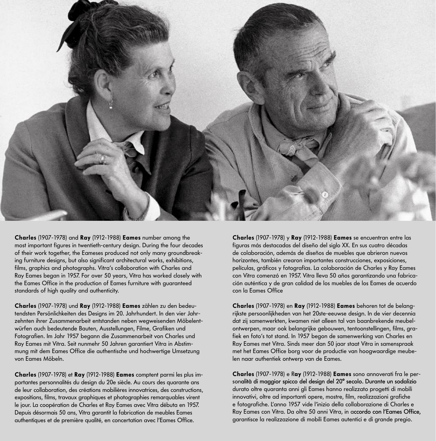

Charles (1907-1978) and Ray (1912-1988) Eames number among the most important figures in twentieth-century design. During the four decades of their work together, the Eameses produced not only many groundbreaking furniture designs, but also significant architectural works, exhibitions, films, graphics and photographs. Vitra's collaboration with Charles and Ray Eames began in 1957. For over 50 years, Vitra has worked closely with the Eames Office in the production of Eames furniture with guaranteed standards of high quality and authenticity.

Charles (1907-1978) und Ray (1912-1988) Eames zählen zu den bedeutendsten Persönlichkeiten des Designs im 20. Jahrhundert. In den vier Jahrzehnten ihrer Zusammenarbeit entstanden neben wegweisenden Möbelentwürfen auch bedeutende Bauten, Ausstellungen, Filme, Grafiken und Fotografien. Im Jahr 1957 begann die Zusammenarbeit von Charles und Ray Eames mit Vitra. Seit nunmehr 50 Jahren garantiert Vitra in Abstimmung mit dem Eames Office die authentische und hochwertige Umsetzung von Eames Möbeln.

Charles (1907-1978) et Ray (1912-1988) Eames comptent parmi les plus importantes personnalités du design du 20e siècle. Au cours des quarante ans de leur collaboration, des créations mobilières innovatrices, des constructions, expositions, films, travaux graphiques et photographies remarquables virent le jour. La coopération de Charles et Ray Eames avec Vitra débuta en 1957. Depuis désormais 50 ans, Vitra garantit la fabrication de meubles Eames authentiques et de première qualité, en concertation avec l'Eames Office.

Charles (1907-1978) y Ray (1912-1988) Eames se encuentran entre las figuras más destacadas del diseño del siglo XX. En sus cuatro décadas de colaboración, además de diseños de muebles que abrieron nuevos horizontes, también crearon importantes construcciones, exposiciones, películas, gráficos y fotografías. La colaboración de Charles y Ray Eames con Vitra comenzó en 1957. Vitra lleva 50 años garantizando una fabricación auténtica y de gran calidad de los muebles de los Eames de acuerdo con la Eames Office

Charles (1907-1978) en Ray (1912-1988) Eames behoren tot de belangrijkste persoonlijkheden van het 20ste-eeuwse design. In de vier decennia dat zij samenwerkten, kwamen niet alleen tal van baanbrekende meubelontwerpen, maar ook belangrijke gebouwen, tentoonstellingen, films, grafiek en foto's tot stand. In 1957 begon de samenwerking van Charles en Ray Eames met Vitra. Sinds meer dan 50 jaar staat Vitra in samenspraak met het Eames Office borg voor de productie van hoogwaardige meubelen naar authentiek ontwerp van de Eames.

Charles (1907-1978) e Ray (1912-1988) Eames sono annoverati fra le personalità di maggior spicco del design del 20° secolo. Durante un sodalizio durato oltre quaranta anni gli Eames hanno realizzato progetti di mobili innovativi, oltre ad importanti opere, mostre, film, realizzazioni grafiche e fotografiche. L'anno 1957 vide l'inizio della collaborazione di Charles e Ray Eames con Vitra. Da oltre 50 anni Vitra, in accordo con l'Eames Office, garantisce la realizzazione di mobili Eames autentici e di grande pregio.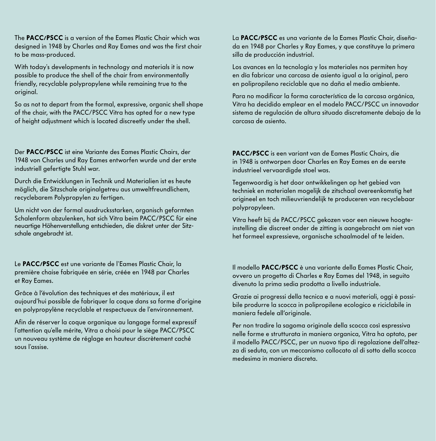The PACC/PSCC is a version of the Eames Plastic Chair which was designed in 1948 by Charles and Ray Eames and was the first chair to be mass-produced.

With today's developments in technology and materials it is now possible to produce the shell of the chair from environmentally friendly, recyclable polypropylene while remaining true to the original.

So as not to depart from the formal, expressive, organic shell shape of the chair, with the PACC/PSCC Vitra has opted for a new type of height adjustment which is located discreetly under the shell.

Der PACC/PSCC ist eine Variante des Eames Plastic Chairs, der 1948 von Charles und Ray Eames entworfen wurde und der erste industriell gefertigte Stuhl war.

Durch die Entwicklungen in Technik und Materialien ist es heute möglich, die Sitzschale originalgetreu aus umweltfreundlichem, recyclebarem Polypropylen zu fertigen.

Um nicht von der formal ausdrucksstarken, organisch geformten Schalenform abzulenken, hat sich Vitra beim PACC/PSCC für eine neuartige Höhenverstellung entschieden, die diskret unter der Sitzschale angebracht ist.

Le PACC/PSCC est une variante de l'Eames Plastic Chair, la première chaise fabriquée en série, créée en 1948 par Charles et Ray Eames.

Grâce à l'évolution des techniques et des matériaux, il est aujourd'hui possible de fabriquer la coque dans sa forme d'origine en polypropylène recyclable et respectueux de l'environnement.

Afin de réserver la coque organique au langage formel expressif l'attention qu'elle mérite, Vitra a choisi pour le siège PACC/PSCC un nouveau système de réglage en hauteur discrètement caché sous l'assise.

La PACC/PSCC es una variante de la Eames Plastic Chair, diseñada en 1948 por Charles y Ray Eames, y que constituye la primera silla de producción industrial.

Los avances en la tecnología y los materiales nos permiten hoy en día fabricar una carcasa de asiento igual a la original, pero en polipropileno reciclable que no daña el medio ambiente.

Para no modificar la forma característica de la carcasa orgánica, Vitra ha decidido emplear en el modelo PACC/PSCC un innovador sistema de regulación de altura situado discretamente debajo de la carcasa de asiento.

PACC/PSCC is een variant van de Eames Plastic Chairs, die in 1948 is ontworpen door Charles en Ray Eames en de eerste industrieel vervaardigde stoel was.

Tegenwoordig is het door ontwikkelingen op het gebied van techniek en materialen mogelijk de zitschaal overeenkomstig het origineel en toch milieuvriendelijk te produceren van recyclebaar polypropyleen.

Vitra heeft bij de PACC/PSCC gekozen voor een nieuwe hoogteinstelling die discreet onder de zitting is aangebracht om niet van het formeel expressieve, organische schaalmodel af te leiden.

Il modello PACC/PSCC è una variante della Eames Plastic Chair, ovvero un progetto di Charles e Ray Eames del 1948, in seguito divenuto la prima sedia prodotta a livello industriale.

Grazie ai progressi della tecnica e a nuovi materiali, oggi è possibile produrre la scocca in polipropilene ecologico e riciclabile in maniera fedele all'originale.

Per non tradire la sagoma originale della scocca così espressiva nelle forme e strutturata in maniera organica, Vitra ha optato, per il modello PACC/PSCC, per un nuovo tipo di regolazione dell'altezza di seduta, con un meccanismo collocato al di sotto della scocca medesima in maniera discreta.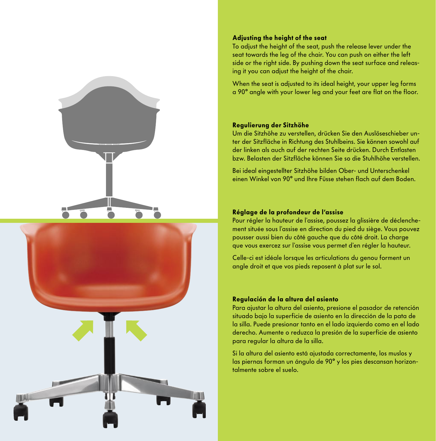



## Adjusting the height of the seat

To adjust the height of the seat, push the release lever under the seat towards the leg of the chair. You can push on either the left side or the right side. By pushing down the seat surface and releasing it you can adjust the height of the chair.

When the seat is adjusted to its ideal height, your upper leg forms a 90° angle with your lower leg and your feet are flat on the floor.

### Regulierung der Sitzhöhe

Um die Sitzhöhe zu verstellen, drücken Sie den Auslöseschieber unter der Sitzfläche in Richtung des Stuhlbeins. Sie können sowohl auf der linken als auch auf der rechten Seite drücken. Durch Entlasten bzw. Belasten der Sitzfläche können Sie so die Stuhlhöhe verstellen.

Bei ideal eingestellter Sitzhöhe bilden Ober- und Unterschenkel einen Winkel von 90° und Ihre Füsse stehen flach auf dem Boden.

#### Réglage de la profondeur de l'assise

Pour régler la hauteur de l'assise, poussez la glissière de déclenchement située sous l'assise en direction du pied du siège. Vous pouvez pousser aussi bien du côté gauche que du côté droit. La charge que vous exercez sur l'assise vous permet d'en régler la hauteur.

Celle-ci est idéale lorsque les articulations du genou forment un angle droit et que vos pieds reposent à plat sur le sol.

#### Regulación de la altura del asiento

Para ajustar la altura del asiento, presione el pasador de retención situado bajo la superficie de asiento en la dirección de la pata de la silla. Puede presionar tanto en el lado izquierdo como en el lado derecho. Aumente o reduzca la presión de la superficie de asiento para regular la altura de la silla.

Si la altura del asiento está ajustada correctamente, los muslos y las piernas forman un ángulo de 90° y los pies descansan horizontalmente sobre el suelo.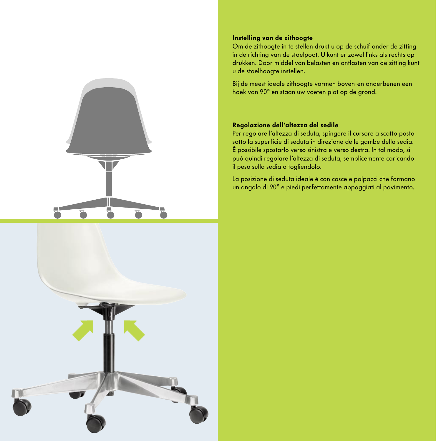



# Instelling van de zithoogte

Om de zithoogte in te stellen drukt u op de schuif onder de zitting in de richting van de stoelpoot. U kunt er zowel links als rechts op drukken. Door middel van belasten en ontlasten van de zitting kunt u de stoelhoogte instellen.

Bij de meest ideale zithoogte vormen boven-en onderbenen een hoek van 90° en staan uw voeten plat op de grond.

## Regolazione dell'altezza del sedile

Per regolare l'altezza di seduta, spingere il cursore a scatto posto sotto la superficie di seduta in direzione delle gambe della sedia. È possibile spostarlo verso sinistra e verso destra. In tal modo, si può quindi regolare l'altezza di seduta, semplicemente caricando il peso sulla sedia o togliendolo.

La posizione di seduta ideale è con cosce e polpacci che formano un angolo di 90° e piedi perfettamente appoggiati al pavimento.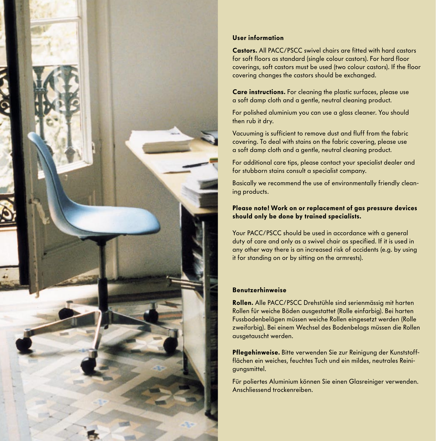

# User information

Castors. All PACC/PSCC swivel chairs are fitted with hard castors for soft floors as standard (single colour castors). For hard floor coverings, soft castors must be used (two colour castors). If the floor covering changes the castors should be exchanged.

Care instructions. For cleaning the plastic surfaces, please use a soft damp cloth and a gentle, neutral cleaning product.

For polished aluminium you can use a glass cleaner. You should then rub it dry.

Vacuuming is sufficient to remove dust and fluff from the fabric covering. To deal with stains on the fabric covering, please use a soft damp cloth and a gentle, neutral cleaning product.

For additional care tips, please contact your specialist dealer and for stubborn stains consult a specialist company.

Basically we recommend the use of environmentally friendly cleaning products.

# Please note! Work on or replacement of gas pressure devices should only be done by trained specialists.

Your PACC/PSCC should be used in accordance with a general duty of care and only as a swivel chair as specified. If it is used in any other way there is an increased risk of accidents (e.g. by using it for standing on or by sitting on the armrests).

# Benutzerhinweise

Rollen. Alle PACC/PSCC Drehstühle sind serienmässig mit harten Rollen für weiche Böden ausgestattet (Rolle einfarbig). Bei harten Fussbodenbelägen müssen weiche Rollen eingesetzt werden (Rolle zweifarbig). Bei einem Wechsel des Bodenbelags müssen die Rollen ausgetauscht werden.

Pflegehinweise. Bitte verwenden Sie zur Reinigung der Kunststoffflächen ein weiches, feuchtes Tuch und ein mildes, neutrales Reinigungsmittel.

Für poliertes Aluminium können Sie einen Glasreiniger verwenden. Anschliessend trockenreiben.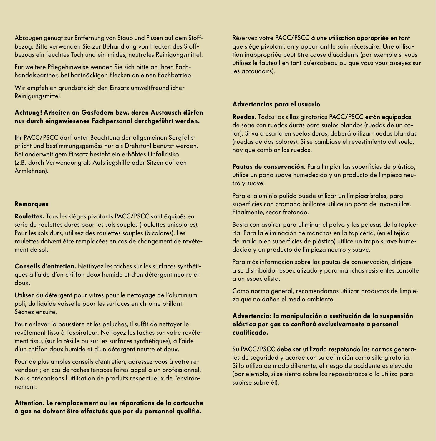Absaugen genügt zur Entfernung von Staub und Flusen auf dem Stoffbezug. Bitte verwenden Sie zur Behandlung von Flecken des Stoffbezugs ein feuchtes Tuch und ein mildes, neutrales Reinigungsmittel.

Für weitere Pflegehinweise wenden Sie sich bitte an Ihren Fachhandelspartner, bei hartnäckigen Flecken an einen Fachbetrieb.

Wir empfehlen grundsätzlich den Einsatz umweltfreundlicher Reinigungsmittel.

## Achtung! Arbeiten an Gasfedern bzw. deren Austausch dürfen nur durch eingewiesenes Fachpersonal durchgeführt werden.

Ihr PACC/PSCC darf unter Beachtung der allgemeinen Sorgfaltspflicht und bestimmungsgemäss nur als Drehstuhl benutzt werden. Bei anderweitigem Einsatz besteht ein erhöhtes Unfallrisiko (z.B. durch Verwendung als Aufstiegshilfe oder Sitzen auf den Armlehnen).

### Remarques

Roulettes. Tous les sièges pivotants PACC/PSCC sont équipés en série de roulettes dures pour les sols souples (roulettes unicolores). Pour les sols durs, utilisez des roulettes souples (bicolores). Les roulettes doivent être remplacées en cas de changement de revêtement de sol.

Conseils d'entretien. Nettoyez les taches sur les surfaces synthétiques à l'aide d'un chiffon doux humide et d'un détergent neutre et doux.

Utilisez du détergent pour vitres pour le nettoyage de l'aluminium poli, du liquide vaisselle pour les surfaces en chrome brillant. Séchez ensuite.

Pour enlever la poussière et les peluches, il suffit de nettoyer le revêtement tissu à l'aspirateur. Nettoyez les taches sur votre revêtement tissu, (sur la résille ou sur les surfaces synthétiques), à l'aide d'un chiffon doux humide et d'un détergent neutre et doux.

Pour de plus amples conseils d'entretien, adressez-vous à votre revendeur ; en cas de taches tenaces faites appel à un professionnel. Nous préconisons l'utilisation de produits respectueux de l'environnement.

Attention. Le remplacement ou les réparations de la cartouche à gaz ne doivent être effectués que par du personnel qualifié.

Réservez votre PACC/PSCC à une utilisation appropriée en tant que siège pivotant, en y apportant le soin nécessaire. Une utilisation inappropriée peut être cause d'accidents (par exemple si vous utilisez le fauteuil en tant qu'escabeau ou que vous vous asseyez sur les accoudoirs).

## Advertencias para el usuario

Ruedas. Todos las sillas giratorias PACC/PSCC están equipadas de serie con ruedas duras para suelos blandos (ruedas de un color). Si va a usarla en suelos duros, deberá utilizar ruedas blandas (ruedas de dos colores). Si se cambiase el revestimiento del suelo, hay que cambiar las ruedas.

Pautas de conservación. Para limpiar las superficies de plástico, utilice un paño suave humedecido y un producto de limpieza neutro y suave.

Para el aluminio pulido puede utilizar un limpiacristales, para superficies con cromado brillante utilice un poco de lavavajillas. Finalmente, secar frotando.

Basta con aspirar para eliminar el polvo y las pelusas de la tapicería. Para la eliminación de manchas en la tapicería, (en el tejido de malla o en superficies de plástico) utilice un trapo suave humedecido y un producto de limpieza neutro y suave.

Para más información sobre las pautas de conservación, diríjase a su distribuidor especializado y para manchas resistentes consulte a un especialista.

Como norma general, recomendamos utilizar productos de limpieza que no dañen el medio ambiente.

Advertencia: la manipulación o sustitución de la suspensión elástica por gas se confiará exclusivamente a personal cualificado.

Su PACC/PSCC debe ser utilizado respetando las normas generales de seguridad y acorde con su definición como silla giratoria. Si lo utiliza de modo diferente, el riesgo de accidente es elevado (por ejemplo, si se sienta sobre los reposabrazos o lo utiliza para subirse sobre él).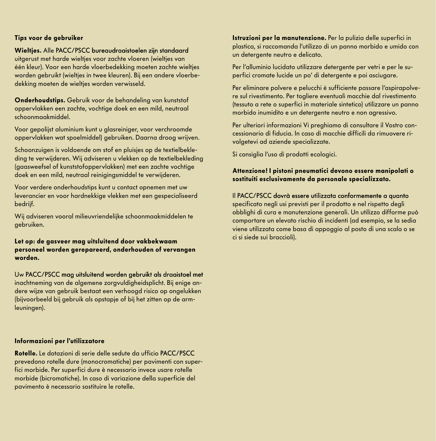## Tips voor de gebruiker

#### Wielties. Alle PACC/PSCC bureaudraaistoelen zijn standaard

uitgerust met harde wielties voor zachte vloeren (wielties van één kleur). Voor een harde vloerbedekking moeten zachte wieltjes worden gebruikt (wielties in twee kleuren). Bij een andere vloerbedekking moeten de wieltjes worden verwisseld.

Onderhoudstips. Gebruik voor de behandeling van kunststof oppervlakken een zachte, vochtige doek en een mild, neutraal schoonmaakmiddel.

Voor gepolijst aluminium kunt u glasreiniger, voor verchroomde oppervlakken wat spoelmiddel) gebruiken. Daarna droog wrijven.

Schoonzuigen is voldoende om stof en pluisjes op de textielbekleding te verwijderen. Wij adviseren u vlekken op de textielbekleding (gaasweefsel of kunststofoppervlakken) met een zachte vochtige doek en een mild, neutraal reinigingsmiddel te verwijderen.

Voor verdere onderhoudstips kunt u contact opnemen met uw leverancier en voor hardnekkige vlekken met een gespecialiseerd bedrijf.

Wij adviseren vooral milieuvriendelijke schoonmaakmiddelen te gebruiken.

## Let op: de gasveer mag uitsluitend door vakbekwaam personeel worden gerepareerd, onderhouden of vervangen worden.

Uw PACC/PSCC mag uitsluitend worden gebruikt als draaistoel met inachtneming van de algemene zorgvuldigheidsplicht. Bij enige andere wijze van gebruik bestaat een verhoogd risico op ongelukken (bijvoorbeeld bij gebruik als opstapje of bij het zitten op de armleuningen).

## Informazioni per l'utilizzatore

Rotelle. Le dotazioni di serie delle sedute da ufficio PACC/PSCC PACC/PSCC prevedono rotelle dure (monocromatiche) per pavimenti con superfici morbide. Per superfici dure è necessario invece usare rotelle morbide (bicromatiche). In caso di variazione della superficie del pavimento è necessario sostituire le rotelle.

Istruzioni per la manutenzione. Per la pulizia delle superfici in plastica, si raccomanda l'utilizzo di un panno morbido e umido con un detergente neutro e delicato.

Per l'alluminio lucidato utilizzare detergente per vetri e per le superfici cromate lucide un po' di detergente e poi asciugare.

Per eliminare polvere e pelucchi è sufficiente passare l'aspirapolvere sul rivestimento. Per togliere eventuali macchie dal rivestimento (tessuto a rete o superfici in materiale sintetico) utilizzare un panno morbido inumidito e un detergente neutro e non agressivo.

Per ulteriori informazioni Vi preghiamo di consultare il Vostro concessionario di fiducia. In caso di macchie difficili da rimuovere rivolgetevi ad aziende specializzate.

Si consiglia l'uso di prodotti ecologici.

Attenzione! I pistoni pneumatici devono essere manipolati o sostituiti esclusivamente da personale specializzato.

#### Il PACC/PSCC dovrà essere utilizzata conformemente a quanto

specificato negli usi previsti per il prodotto e nel rispetto degli obblighi di cura e manutenzione generali. Un utilizzo difforme può comportare un elevato rischio di incidenti (ad esempio, se la sedia viene utilizzata come basa di appoggio al posto di una scala o se ci si siede sui braccioli).